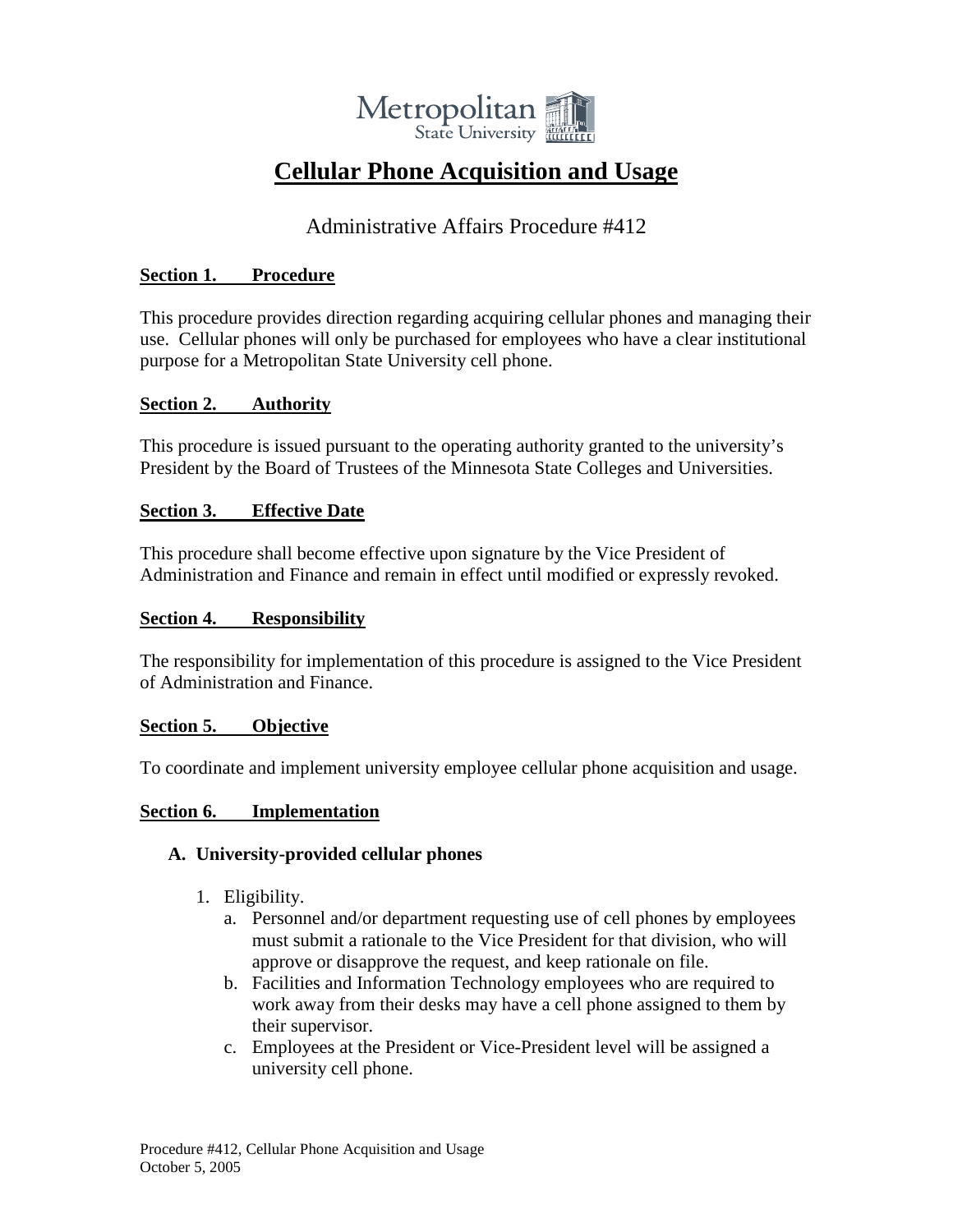

# **Cellular Phone Acquisition and Usage**

# Administrative Affairs Procedure #412

### **Section 1. Procedure**

This procedure provides direction regarding acquiring cellular phones and managing their use. Cellular phones will only be purchased for employees who have a clear institutional purpose for a Metropolitan State University cell phone.

#### **Section 2. Authority**

This procedure is issued pursuant to the operating authority granted to the university's President by the Board of Trustees of the Minnesota State Colleges and Universities.

#### **Section 3. Effective Date**

This procedure shall become effective upon signature by the Vice President of Administration and Finance and remain in effect until modified or expressly revoked.

#### **Section 4. Responsibility**

The responsibility for implementation of this procedure is assigned to the Vice President of Administration and Finance.

# **Section 5. Objective**

To coordinate and implement university employee cellular phone acquisition and usage.

#### **Section 6. Implementation**

# **A. University-provided cellular phones**

- 1. Eligibility.
	- a. Personnel and/or department requesting use of cell phones by employees must submit a rationale to the Vice President for that division, who will approve or disapprove the request, and keep rationale on file.
	- b. Facilities and Information Technology employees who are required to work away from their desks may have a cell phone assigned to them by their supervisor.
	- c. Employees at the President or Vice-President level will be assigned a university cell phone.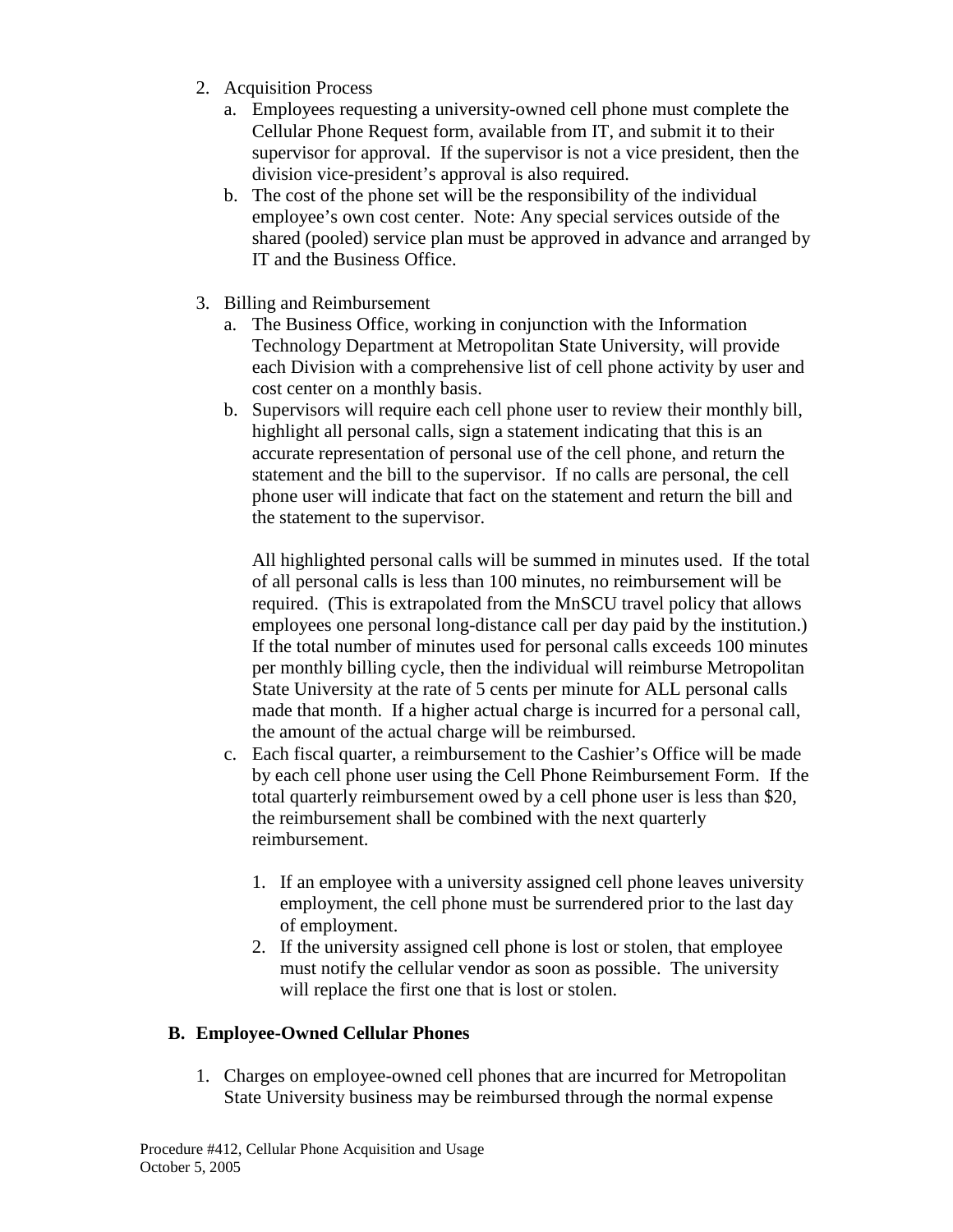- 2. Acquisition Process
	- a. Employees requesting a university-owned cell phone must complete the Cellular Phone Request form, available from IT, and submit it to their supervisor for approval. If the supervisor is not a vice president, then the division vice-president's approval is also required.
	- b. The cost of the phone set will be the responsibility of the individual employee's own cost center. Note: Any special services outside of the shared (pooled) service plan must be approved in advance and arranged by IT and the Business Office.
- 3. Billing and Reimbursement
	- a. The Business Office, working in conjunction with the Information Technology Department at Metropolitan State University, will provide each Division with a comprehensive list of cell phone activity by user and cost center on a monthly basis.
	- b. Supervisors will require each cell phone user to review their monthly bill, highlight all personal calls, sign a statement indicating that this is an accurate representation of personal use of the cell phone, and return the statement and the bill to the supervisor. If no calls are personal, the cell phone user will indicate that fact on the statement and return the bill and the statement to the supervisor.

All highlighted personal calls will be summed in minutes used. If the total of all personal calls is less than 100 minutes, no reimbursement will be required. (This is extrapolated from the MnSCU travel policy that allows employees one personal long-distance call per day paid by the institution.) If the total number of minutes used for personal calls exceeds 100 minutes per monthly billing cycle, then the individual will reimburse Metropolitan State University at the rate of 5 cents per minute for ALL personal calls made that month. If a higher actual charge is incurred for a personal call, the amount of the actual charge will be reimbursed.

- c. Each fiscal quarter, a reimbursement to the Cashier's Office will be made by each cell phone user using the Cell Phone Reimbursement Form. If the total quarterly reimbursement owed by a cell phone user is less than \$20, the reimbursement shall be combined with the next quarterly reimbursement.
	- 1. If an employee with a university assigned cell phone leaves university employment, the cell phone must be surrendered prior to the last day of employment.
	- 2. If the university assigned cell phone is lost or stolen, that employee must notify the cellular vendor as soon as possible. The university will replace the first one that is lost or stolen.

# **B. Employee-Owned Cellular Phones**

1. Charges on employee-owned cell phones that are incurred for Metropolitan State University business may be reimbursed through the normal expense